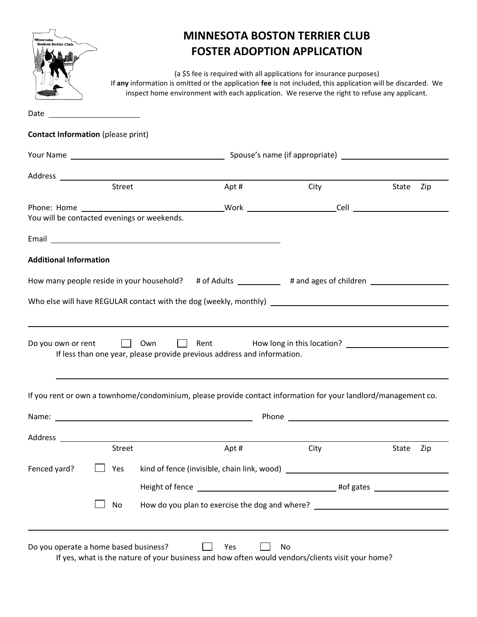| <b>Boston Terrier Club</b>                  |                                                                                                                       |                                                                                                                                                                                                                                                                                       | <b>MINNESOTA BOSTON TERRIER CLUB</b><br><b>FOSTER ADOPTION APPLICATION</b> |              |  |
|---------------------------------------------|-----------------------------------------------------------------------------------------------------------------------|---------------------------------------------------------------------------------------------------------------------------------------------------------------------------------------------------------------------------------------------------------------------------------------|----------------------------------------------------------------------------|--------------|--|
|                                             |                                                                                                                       | (a \$5 fee is required with all applications for insurance purposes)<br>If any information is omitted or the application fee is not included, this application will be discarded. We<br>inspect home environment with each application. We reserve the right to refuse any applicant. |                                                                            |              |  |
| Date                                        | <u> 1989 - Johann Barn, mars eta bainar eta industrial eta baina eta baina eta baina eta baina eta baina eta bain</u> |                                                                                                                                                                                                                                                                                       |                                                                            |              |  |
| <b>Contact Information (please print)</b>   |                                                                                                                       |                                                                                                                                                                                                                                                                                       |                                                                            |              |  |
|                                             |                                                                                                                       |                                                                                                                                                                                                                                                                                       |                                                                            |              |  |
|                                             |                                                                                                                       |                                                                                                                                                                                                                                                                                       |                                                                            |              |  |
|                                             | Street                                                                                                                | Apt#                                                                                                                                                                                                                                                                                  | City                                                                       | State Zip    |  |
| You will be contacted evenings or weekends. |                                                                                                                       |                                                                                                                                                                                                                                                                                       |                                                                            |              |  |
|                                             |                                                                                                                       | Email <u>San Andrew Communication</u> and the communication of the communication of the communication of the communication                                                                                                                                                            |                                                                            |              |  |
| Do you own or rent                          | <b>Example 1</b> Own                                                                                                  | $\Box$ Rent<br>If less than one year, please provide previous address and information.                                                                                                                                                                                                |                                                                            |              |  |
|                                             |                                                                                                                       | If you rent or own a townhome/condominium, please provide contact information for your landlord/management co.                                                                                                                                                                        |                                                                            |              |  |
|                                             |                                                                                                                       |                                                                                                                                                                                                                                                                                       |                                                                            |              |  |
|                                             |                                                                                                                       |                                                                                                                                                                                                                                                                                       |                                                                            |              |  |
|                                             | Street                                                                                                                | Apt#                                                                                                                                                                                                                                                                                  | City                                                                       | State<br>Zip |  |
| Fenced yard?                                | Yes                                                                                                                   |                                                                                                                                                                                                                                                                                       |                                                                            |              |  |
|                                             |                                                                                                                       |                                                                                                                                                                                                                                                                                       |                                                                            |              |  |
|                                             | No                                                                                                                    | How do you plan to exercise the dog and where? _________________________________                                                                                                                                                                                                      |                                                                            |              |  |
| Do you operate a home based business?       |                                                                                                                       | Yes                                                                                                                                                                                                                                                                                   | No                                                                         |              |  |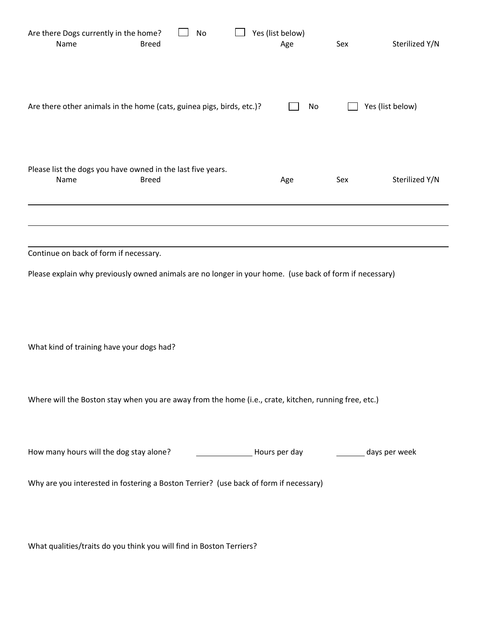| Are there Dogs currently in the home?<br>Name<br><b>Breed</b>                                           | No |  | Yes (list below)<br>Age               | Sex | Sterilized Y/N   |
|---------------------------------------------------------------------------------------------------------|----|--|---------------------------------------|-----|------------------|
| Are there other animals in the home (cats, guinea pigs, birds, etc.)?                                   |    |  | No                                    |     | Yes (list below) |
| Please list the dogs you have owned in the last five years.<br>Name<br><b>Breed</b>                     |    |  | Age                                   | Sex | Sterilized Y/N   |
|                                                                                                         |    |  |                                       |     |                  |
| Continue on back of form if necessary.                                                                  |    |  |                                       |     |                  |
| Please explain why previously owned animals are no longer in your home. (use back of form if necessary) |    |  |                                       |     |                  |
| What kind of training have your dogs had?                                                               |    |  |                                       |     |                  |
| Where will the Boston stay when you are away from the home (i.e., crate, kitchen, running free, etc.)   |    |  |                                       |     |                  |
| How many hours will the dog stay alone?                                                                 |    |  | Hours per day _________ days per week |     |                  |
| Why are you interested in fostering a Boston Terrier? (use back of form if necessary)                   |    |  |                                       |     |                  |
|                                                                                                         |    |  |                                       |     |                  |

What qualities/traits do you think you will find in Boston Terriers?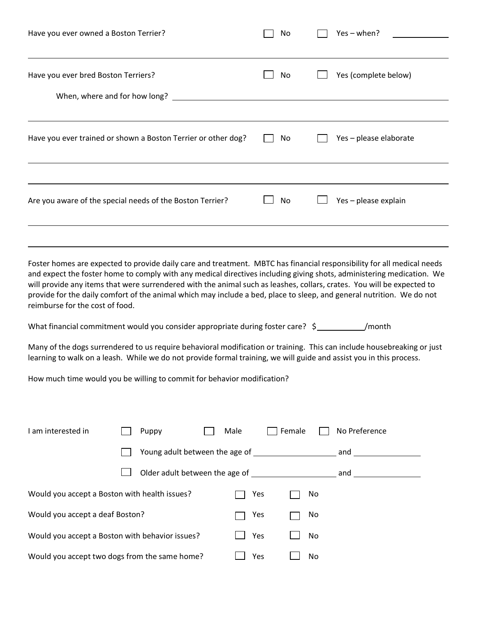| Have you ever owned a Boston Terrier?                                                                                                                                                                                                                                                                                                                                    | No | $Yes - when?$          |
|--------------------------------------------------------------------------------------------------------------------------------------------------------------------------------------------------------------------------------------------------------------------------------------------------------------------------------------------------------------------------|----|------------------------|
| Have you ever bred Boston Terriers?                                                                                                                                                                                                                                                                                                                                      | No | Yes (complete below)   |
| When, where and for how long? __________                                                                                                                                                                                                                                                                                                                                 |    |                        |
| Have you ever trained or shown a Boston Terrier or other dog?                                                                                                                                                                                                                                                                                                            | No | Yes - please elaborate |
|                                                                                                                                                                                                                                                                                                                                                                          |    |                        |
| Are you aware of the special needs of the Boston Terrier?                                                                                                                                                                                                                                                                                                                | No | Yes - please explain   |
| Foster homes are expected to provide daily care and treatment. MBTC has financial responsibility for all medical needs                                                                                                                                                                                                                                                   |    |                        |
| and expect the foster home to comply with any medical directives including giving shots, administering medication. We<br>will provide any items that were surrendered with the animal such as leashes, collars, crates. You will be expected to<br>provide for the daily comfort of the animal which may include a bed, place to sleep, and general nutrition. We do not |    |                        |

reimburse for the cost of food.

What financial commitment would you consider appropriate during foster care?  $\zeta$  /month

Many of the dogs surrendered to us require behavioral modification or training. This can include housebreaking or just learning to walk on a leash. While we do not provide formal training, we will guide and assist you in this process.

How much time would you be willing to commit for behavior modification?

| I am interested in                              | Puppy | Male                           | Female | No Preference |
|-------------------------------------------------|-------|--------------------------------|--------|---------------|
|                                                 |       | Young adult between the age of |        | and           |
|                                                 |       | Older adult between the age of |        | and           |
| Would you accept a Boston with health issues?   |       | Yes                            | No     |               |
| Would you accept a deaf Boston?                 |       | Yes                            | No     |               |
| Would you accept a Boston with behavior issues? |       | Yes                            | No     |               |
| Would you accept two dogs from the same home?   |       | Yes                            | No     |               |